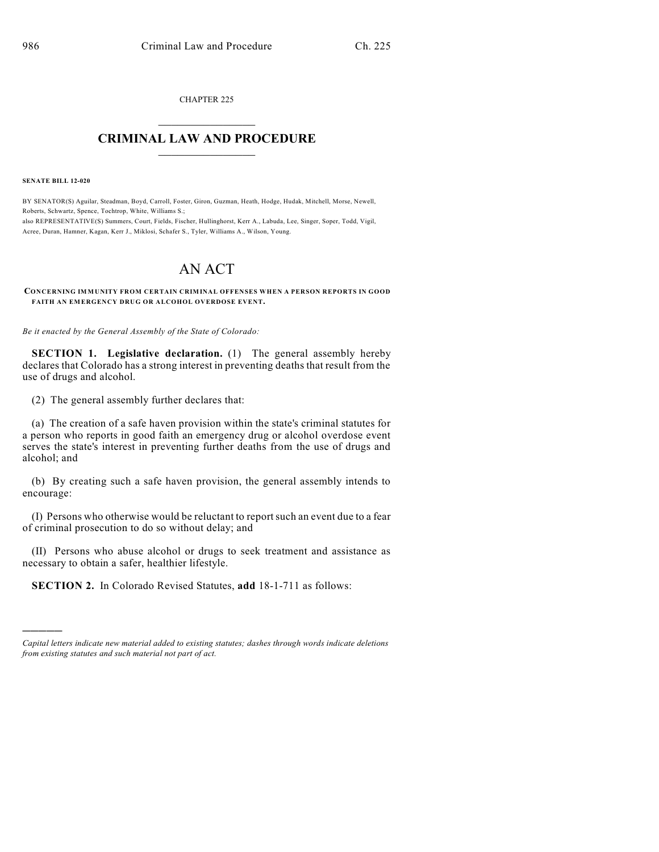CHAPTER 225  $\overline{\phantom{a}}$  . The set of the set of the set of the set of the set of the set of the set of the set of the set of the set of the set of the set of the set of the set of the set of the set of the set of the set of the set o

## **CRIMINAL LAW AND PROCEDURE**  $\frac{1}{2}$  ,  $\frac{1}{2}$  ,  $\frac{1}{2}$  ,  $\frac{1}{2}$  ,  $\frac{1}{2}$  ,  $\frac{1}{2}$  ,  $\frac{1}{2}$

**SENATE BILL 12-020**

)))))

BY SENATOR(S) Aguilar, Steadman, Boyd, Carroll, Foster, Giron, Guzman, Heath, Hodge, Hudak, Mitchell, Morse, Newell, Roberts, Schwartz, Spence, Tochtrop, White, Williams S.; also REPRESENTATIVE(S) Summers, Court, Fields, Fischer, Hullinghorst, Kerr A., Labuda, Lee, Singer, Soper, Todd, Vigil, Acree, Duran, Hamner, Kagan, Kerr J., Miklosi, Schafer S., Tyler, Williams A., Wilson, Young.

## AN ACT

**CONCERNING IMMUNITY FROM CERTAIN CRIMINAL OFFENSES WHEN A PERSON REPORTS IN GOOD FAITH AN EMERGENCY DRUG OR ALCOHOL OVERDOSE EVENT.**

*Be it enacted by the General Assembly of the State of Colorado:*

**SECTION 1. Legislative declaration.** (1) The general assembly hereby declares that Colorado has a strong interest in preventing deaths that result from the use of drugs and alcohol.

(2) The general assembly further declares that:

(a) The creation of a safe haven provision within the state's criminal statutes for a person who reports in good faith an emergency drug or alcohol overdose event serves the state's interest in preventing further deaths from the use of drugs and alcohol; and

(b) By creating such a safe haven provision, the general assembly intends to encourage:

(I) Persons who otherwise would be reluctant to reportsuch an event due to a fear of criminal prosecution to do so without delay; and

(II) Persons who abuse alcohol or drugs to seek treatment and assistance as necessary to obtain a safer, healthier lifestyle.

**SECTION 2.** In Colorado Revised Statutes, **add** 18-1-711 as follows:

*Capital letters indicate new material added to existing statutes; dashes through words indicate deletions from existing statutes and such material not part of act.*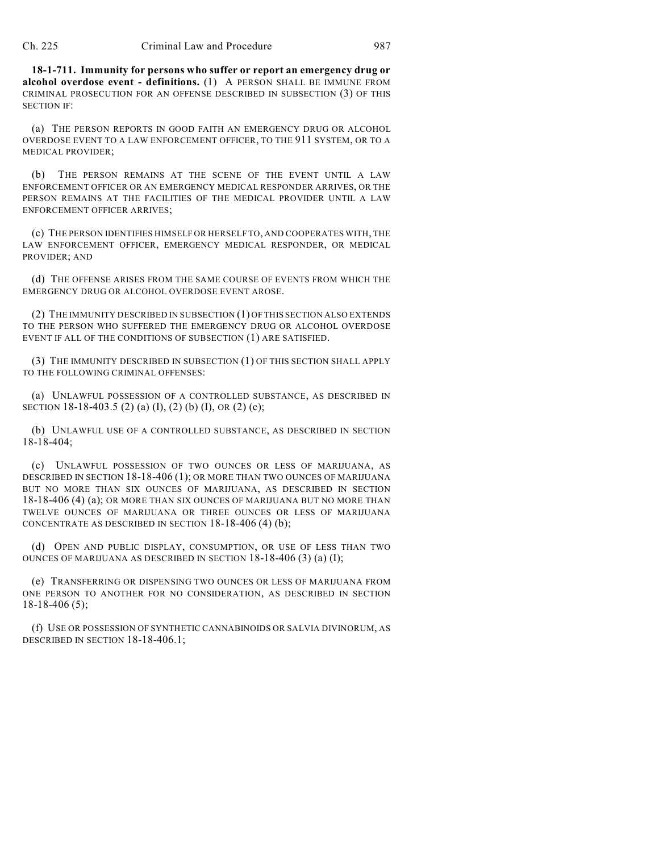**18-1-711. Immunity for persons who suffer or report an emergency drug or alcohol overdose event - definitions.** (1) A PERSON SHALL BE IMMUNE FROM CRIMINAL PROSECUTION FOR AN OFFENSE DESCRIBED IN SUBSECTION (3) OF THIS SECTION IF:

(a) THE PERSON REPORTS IN GOOD FAITH AN EMERGENCY DRUG OR ALCOHOL OVERDOSE EVENT TO A LAW ENFORCEMENT OFFICER, TO THE 911 SYSTEM, OR TO A MEDICAL PROVIDER;

(b) THE PERSON REMAINS AT THE SCENE OF THE EVENT UNTIL A LAW ENFORCEMENT OFFICER OR AN EMERGENCY MEDICAL RESPONDER ARRIVES, OR THE PERSON REMAINS AT THE FACILITIES OF THE MEDICAL PROVIDER UNTIL A LAW ENFORCEMENT OFFICER ARRIVES;

(c) THE PERSON IDENTIFIES HIMSELF OR HERSELF TO, AND COOPERATES WITH, THE LAW ENFORCEMENT OFFICER, EMERGENCY MEDICAL RESPONDER, OR MEDICAL PROVIDER; AND

(d) THE OFFENSE ARISES FROM THE SAME COURSE OF EVENTS FROM WHICH THE EMERGENCY DRUG OR ALCOHOL OVERDOSE EVENT AROSE.

(2) THE IMMUNITY DESCRIBED IN SUBSECTION (1) OF THIS SECTION ALSO EXTENDS TO THE PERSON WHO SUFFERED THE EMERGENCY DRUG OR ALCOHOL OVERDOSE EVENT IF ALL OF THE CONDITIONS OF SUBSECTION (1) ARE SATISFIED.

(3) THE IMMUNITY DESCRIBED IN SUBSECTION (1) OF THIS SECTION SHALL APPLY TO THE FOLLOWING CRIMINAL OFFENSES:

(a) UNLAWFUL POSSESSION OF A CONTROLLED SUBSTANCE, AS DESCRIBED IN SECTION 18-18-403.5 (2) (a) (I), (2) (b) (I), OR (2) (c);

(b) UNLAWFUL USE OF A CONTROLLED SUBSTANCE, AS DESCRIBED IN SECTION 18-18-404;

(c) UNLAWFUL POSSESSION OF TWO OUNCES OR LESS OF MARIJUANA, AS DESCRIBED IN SECTION 18-18-406 (1); OR MORE THAN TWO OUNCES OF MARIJUANA BUT NO MORE THAN SIX OUNCES OF MARIJUANA, AS DESCRIBED IN SECTION 18-18-406 (4) (a); OR MORE THAN SIX OUNCES OF MARIJUANA BUT NO MORE THAN TWELVE OUNCES OF MARIJUANA OR THREE OUNCES OR LESS OF MARIJUANA CONCENTRATE AS DESCRIBED IN SECTION 18-18-406 (4) (b);

(d) OPEN AND PUBLIC DISPLAY, CONSUMPTION, OR USE OF LESS THAN TWO OUNCES OF MARIJUANA AS DESCRIBED IN SECTION 18-18-406 (3) (a) (I);

(e) TRANSFERRING OR DISPENSING TWO OUNCES OR LESS OF MARIJUANA FROM ONE PERSON TO ANOTHER FOR NO CONSIDERATION, AS DESCRIBED IN SECTION 18-18-406 (5);

(f) USE OR POSSESSION OF SYNTHETIC CANNABINOIDS OR SALVIA DIVINORUM, AS DESCRIBED IN SECTION 18-18-406.1;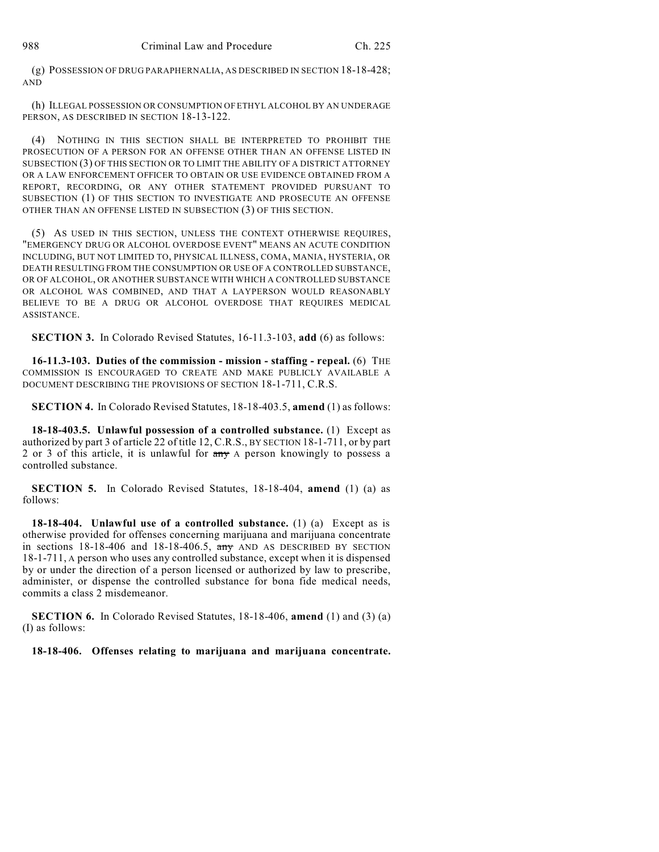(g) POSSESSION OF DRUG PARAPHERNALIA, AS DESCRIBED IN SECTION 18-18-428; AND

(h) ILLEGAL POSSESSION OR CONSUMPTION OF ETHYL ALCOHOL BY AN UNDERAGE PERSON, AS DESCRIBED IN SECTION 18-13-122.

(4) NOTHING IN THIS SECTION SHALL BE INTERPRETED TO PROHIBIT THE PROSECUTION OF A PERSON FOR AN OFFENSE OTHER THAN AN OFFENSE LISTED IN SUBSECTION (3) OF THIS SECTION OR TO LIMIT THE ABILITY OF A DISTRICT ATTORNEY OR A LAW ENFORCEMENT OFFICER TO OBTAIN OR USE EVIDENCE OBTAINED FROM A REPORT, RECORDING, OR ANY OTHER STATEMENT PROVIDED PURSUANT TO SUBSECTION (1) OF THIS SECTION TO INVESTIGATE AND PROSECUTE AN OFFENSE OTHER THAN AN OFFENSE LISTED IN SUBSECTION (3) OF THIS SECTION.

(5) AS USED IN THIS SECTION, UNLESS THE CONTEXT OTHERWISE REQUIRES, "EMERGENCY DRUG OR ALCOHOL OVERDOSE EVENT" MEANS AN ACUTE CONDITION INCLUDING, BUT NOT LIMITED TO, PHYSICAL ILLNESS, COMA, MANIA, HYSTERIA, OR DEATH RESULTING FROM THE CONSUMPTION OR USE OF A CONTROLLED SUBSTANCE, OR OF ALCOHOL, OR ANOTHER SUBSTANCE WITH WHICH A CONTROLLED SUBSTANCE OR ALCOHOL WAS COMBINED, AND THAT A LAYPERSON WOULD REASONABLY BELIEVE TO BE A DRUG OR ALCOHOL OVERDOSE THAT REQUIRES MEDICAL ASSISTANCE.

**SECTION 3.** In Colorado Revised Statutes, 16-11.3-103, **add** (6) as follows:

**16-11.3-103. Duties of the commission - mission - staffing - repeal.** (6) THE COMMISSION IS ENCOURAGED TO CREATE AND MAKE PUBLICLY AVAILABLE A DOCUMENT DESCRIBING THE PROVISIONS OF SECTION 18-1-711, C.R.S.

**SECTION 4.** In Colorado Revised Statutes, 18-18-403.5, **amend** (1) as follows:

**18-18-403.5. Unlawful possession of a controlled substance.** (1) Except as authorized by part 3 of article 22 of title 12, C.R.S., BY SECTION 18-1-711, or by part 2 or 3 of this article, it is unlawful for  $\frac{any}{y}$  A person knowingly to possess a controlled substance.

**SECTION 5.** In Colorado Revised Statutes, 18-18-404, **amend** (1) (a) as follows:

**18-18-404. Unlawful use of a controlled substance.** (1) (a) Except as is otherwise provided for offenses concerning marijuana and marijuana concentrate in sections  $18-18-406$  and  $18-18-406.5$ , any AND AS DESCRIBED BY SECTION 18-1-711, A person who uses any controlled substance, except when it is dispensed by or under the direction of a person licensed or authorized by law to prescribe, administer, or dispense the controlled substance for bona fide medical needs, commits a class 2 misdemeanor.

**SECTION 6.** In Colorado Revised Statutes, 18-18-406, **amend** (1) and (3) (a) (I) as follows:

**18-18-406. Offenses relating to marijuana and marijuana concentrate.**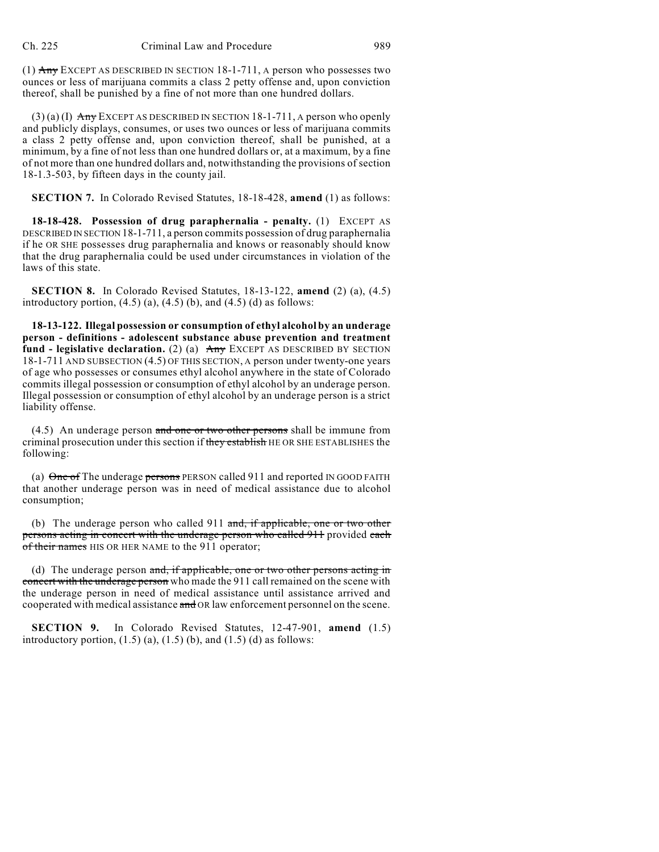(1) Any EXCEPT AS DESCRIBED IN SECTION 18-1-711, A person who possesses two ounces or less of marijuana commits a class 2 petty offense and, upon conviction thereof, shall be punished by a fine of not more than one hundred dollars.

 $(3)$  (a) (I) Any EXCEPT AS DESCRIBED IN SECTION 18-1-711, A person who openly and publicly displays, consumes, or uses two ounces or less of marijuana commits a class 2 petty offense and, upon conviction thereof, shall be punished, at a minimum, by a fine of not less than one hundred dollars or, at a maximum, by a fine of not more than one hundred dollars and, notwithstanding the provisions of section 18-1.3-503, by fifteen days in the county jail.

**SECTION 7.** In Colorado Revised Statutes, 18-18-428, **amend** (1) as follows:

**18-18-428. Possession of drug paraphernalia - penalty.** (1) EXCEPT AS DESCRIBED IN SECTION 18-1-711, a person commits possession of drug paraphernalia if he OR SHE possesses drug paraphernalia and knows or reasonably should know that the drug paraphernalia could be used under circumstances in violation of the laws of this state.

**SECTION 8.** In Colorado Revised Statutes, 18-13-122, **amend** (2) (a), (4.5) introductory portion,  $(4.5)$   $(a)$ ,  $(4.5)$   $(b)$ , and  $(4.5)$   $(d)$  as follows:

**18-13-122. Illegal possession or consumption of ethyl alcohol by an underage person - definitions - adolescent substance abuse prevention and treatment fund - legislative declaration.** (2) (a) Any EXCEPT AS DESCRIBED BY SECTION 18-1-711 AND SUBSECTION (4.5) OF THIS SECTION, A person under twenty-one years of age who possesses or consumes ethyl alcohol anywhere in the state of Colorado commits illegal possession or consumption of ethyl alcohol by an underage person. Illegal possession or consumption of ethyl alcohol by an underage person is a strict liability offense.

(4.5) An underage person and one or two other persons shall be immune from criminal prosecution under this section if they establish HE OR SHE ESTABLISHES the following:

(a)  $\Theta$  one of The underage persons PERSON called 911 and reported IN GOOD FAITH that another underage person was in need of medical assistance due to alcohol consumption;

(b) The underage person who called 911 and, if applicable, one or two other persons acting in concert with the underage person who called 911 provided each of their names HIS OR HER NAME to the 911 operator;

(d) The underage person and, if applicable, one or two other persons acting in concert with the underage person who made the 911 call remained on the scene with the underage person in need of medical assistance until assistance arrived and cooperated with medical assistance and OR law enforcement personnel on the scene.

**SECTION 9.** In Colorado Revised Statutes, 12-47-901, **amend** (1.5) introductory portion,  $(1.5)$   $(a)$ ,  $(1.5)$   $(b)$ , and  $(1.5)$   $(d)$  as follows: